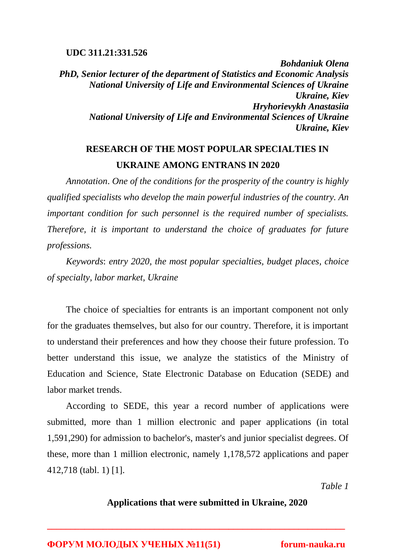### **UDC 311.21:331.526**

*Bohdaniuk Olena PhD, Senior lecturer of the department of Statistics and Economic Analysis National University of Life and Environmental Sciences of Ukraine Ukraine, Kiev Hryhorievykh Anastasiia National University of Life and Environmental Sciences of Ukraine Ukraine, Kiev*

# **RESEARCH OF THE MOST POPULAR SPECIALTIES IN UKRAINE AMONG ENTRANS IN 2020**

*Annotation*. *One of the conditions for the prosperity of the country is highly qualified specialists who develop the main powerful industries of the country. An important condition for such personnel is the required number of specialists. Therefore, it is important to understand the choice of graduates for future professions.*

*Keywords*: *entry 2020, the most popular specialties, budget places, choice of specialty, labor market, Ukraine*

The choice of specialties for entrants is an important component not only for the graduates themselves, but also for our country. Therefore, it is important to understand their preferences and how they choose their future profession. To better understand this issue, we analyze the statistics of the Ministry of Education and Science, State Electronic Database on Education (SEDE) and labor market trends.

According to SEDE, this year a record number of applications were submitted, more than 1 million electronic and paper applications (in total 1,591,290) for admission to bachelor's, master's and junior specialist degrees. Of these, more than 1 million electronic, namely 1,178,572 applications and paper 412,718 (tabl. 1) [1].

*Table 1*

### **Applications that were submitted in Ukraine, 2020**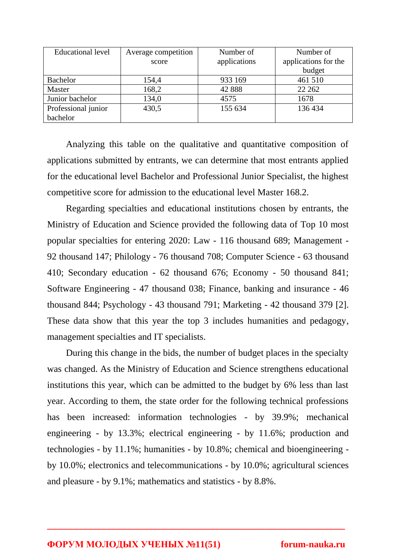| Educational level   | Average competition | Number of    | Number of            |
|---------------------|---------------------|--------------|----------------------|
|                     | score               | applications | applications for the |
|                     |                     |              | budget               |
| <b>Bachelor</b>     | 154,4               | 933 169      | 461 510              |
| Master              | 168,2               | 42 888       | 22 26 2              |
| Junior bachelor     | 134,0               | 4575         | 1678                 |
| Professional junior | 430,5               | 155 634      | 136 434              |
| bachelor            |                     |              |                      |

Analyzing this table on the qualitative and quantitative composition of applications submitted by entrants, we can determine that most entrants applied for the educational level Bachelor and Professional Junior Specialist, the highest competitive score for admission to the educational level Master 168.2.

Regarding specialties and educational institutions chosen by entrants, the Ministry of Education and Science provided the following data of Top 10 most popular specialties for entering 2020: Law - 116 thousand 689; Management - 92 thousand 147; Philology - 76 thousand 708; Computer Science - 63 thousand 410; Secondary education - 62 thousand 676; Economy - 50 thousand 841; Software Engineering - 47 thousand 038; Finance, banking and insurance - 46 thousand 844; Psychology - 43 thousand 791; Marketing - 42 thousand 379 [2]. These data show that this year the top 3 includes humanities and pedagogy, management specialties and IT specialists.

During this change in the bids, the number of budget places in the specialty was changed. As the Ministry of Education and Science strengthens educational institutions this year, which can be admitted to the budget by 6% less than last year. According to them, the state order for the following technical professions has been increased: information technologies - by 39.9%; mechanical engineering - by 13.3%; electrical engineering - by 11.6%; production and technologies - by 11.1%; humanities - by 10.8%; chemical and bioengineering by 10.0%; electronics and telecommunications - by 10.0%; agricultural sciences and pleasure - by 9.1%; mathematics and statistics - by 8.8%.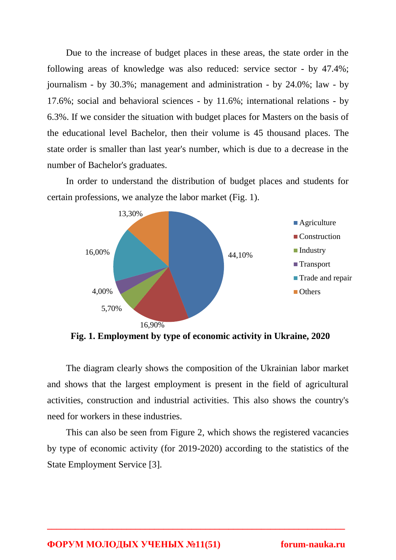Due to the increase of budget places in these areas, the state order in the following areas of knowledge was also reduced: service sector - by 47.4%; journalism - by 30.3%; management and administration - by 24.0%; law - by 17.6%; social and behavioral sciences - by 11.6%; international relations - by 6.3%. If we consider the situation with budget places for Masters on the basis of the educational level Bachelor, then their volume is 45 thousand places. The state order is smaller than last year's number, which is due to a decrease in the number of Bachelor's graduates.

In order to understand the distribution of budget places and students for certain professions, we analyze the labor market (Fig. 1).



**Fig. 1. Employment by type of economic activity in Ukraine, 2020**

The diagram clearly shows the composition of the Ukrainian labor market and shows that the largest employment is present in the field of agricultural activities, construction and industrial activities. This also shows the country's need for workers in these industries.

This can also be seen from Figure 2, which shows the registered vacancies by type of economic activity (for 2019-2020) according to the statistics of the State Employment Service [3].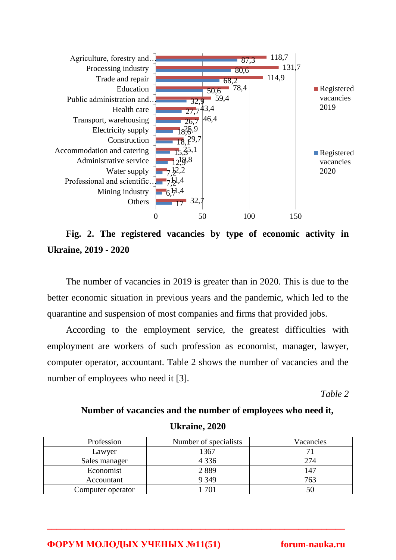

**Fig. 2. The registered vacancies by type of economic activity in Ukraine, 2019 - 2020**

The number of vacancies in 2019 is greater than in 2020. This is due to the better economic situation in previous years and the pandemic, which led to the quarantine and suspension of most companies and firms that provided jobs.

According to the employment service, the greatest difficulties with employment are workers of such profession as economist, manager, lawyer, computer operator, accountant. Table 2 shows the number of vacancies and the number of employees who need it [3].

*Table 2*

# **Number of vacancies and the number of employees who need it, Ukraine, 2020**

| Profession        | Number of specialists | Vacancies |
|-------------------|-----------------------|-----------|
| Lawyer            | 1367                  |           |
| Sales manager     | 4 3 3 6               | 274       |
| Economist         | 2889                  |           |
| Accountant        | 9 3 4 9               | 763       |
| Computer operator |                       |           |